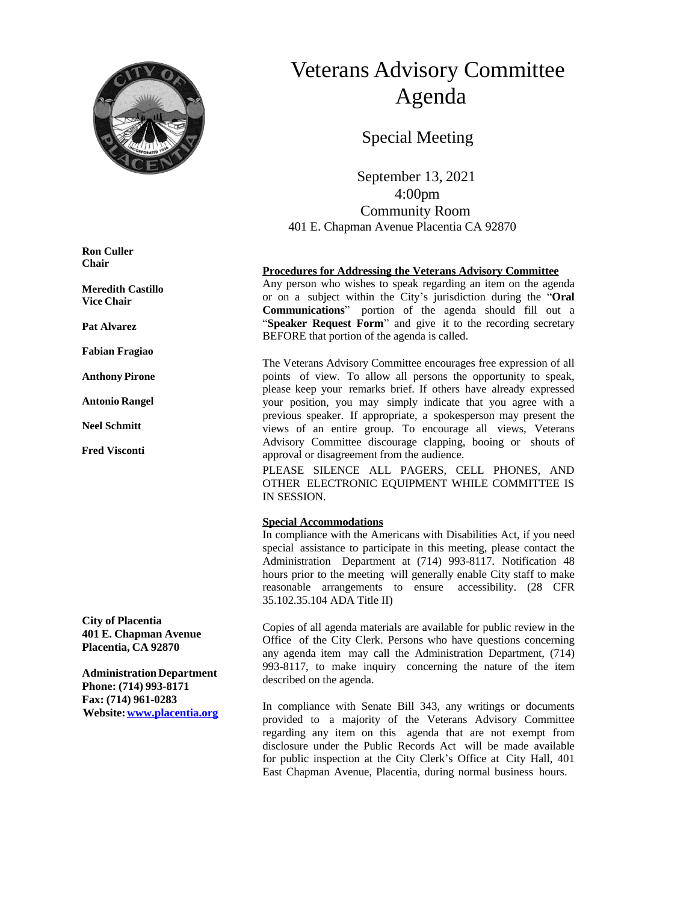

# Veterans Advisory Committee Agenda

Special Meeting

 September 13, 2021 4:00pm Community Room 401 E. Chapman Avenue Placentia CA 92870

#### **Procedures for Addressing the Veterans Advisory Committee**

Any person who wishes to speak regarding an item on the agenda or on a subject within the City's jurisdiction during the "**Oral Communications**" portion of the agenda should fill out a "**Speaker Request Form**" and give it to the recording secretary BEFORE that portion of the agenda is called.

The Veterans Advisory Committee encourages free expression of all points of view. To allow all persons the opportunity to speak, please keep your remarks brief. If others have already expressed your position, you may simply indicate that you agree with a previous speaker. If appropriate, a spokesperson may present the views of an entire group. To encourage all views, Veterans Advisory Committee discourage clapping, booing or shouts of approval or disagreement from the audience.

PLEASE SILENCE ALL PAGERS, CELL PHONES, AND OTHER ELECTRONIC EQUIPMENT WHILE COMMITTEE IS IN SESSION.

#### **Special Accommodations**

In compliance with the Americans with Disabilities Act, if you need special assistance to participate in this meeting, please contact the Administration Department at (714) 993-8117. Notification 48 hours prior to the meeting will generally enable City staff to make reasonable arrangements to ensure accessibility. (28 CFR 35.102.35.104 ADA Title II)

Copies of all agenda materials are available for public review in the Office of the City Clerk. Persons who have questions concerning any agenda item may call the Administration Department, (714) 993-8117, to make inquiry concerning the nature of the item described on the agenda.

In compliance with Senate Bill 343, any writings or documents provided to a majority of the Veterans Advisory Committee regarding any item on this agenda that are not exempt from disclosure under the Public Records Act will be made available for public inspection at the City Clerk's Office at City Hall, 401 East Chapman Avenue, Placentia, during normal business hours.

**Ron Culler Chair**

**Meredith Castillo Vice Chair**

**Pat Alvarez**

**Fabian Fragiao**

**Anthony Pirone**

**Antonio Rangel**

**Neel Schmitt**

**Fred Visconti**

**City of Placentia 401 E. Chapman Avenue Placentia, CA 92870**

**AdministrationDepartment Phone: (714) 993-8171 Fax: (714) 961-0283 Website:[www.placentia.org](http://www.placentia.org/)**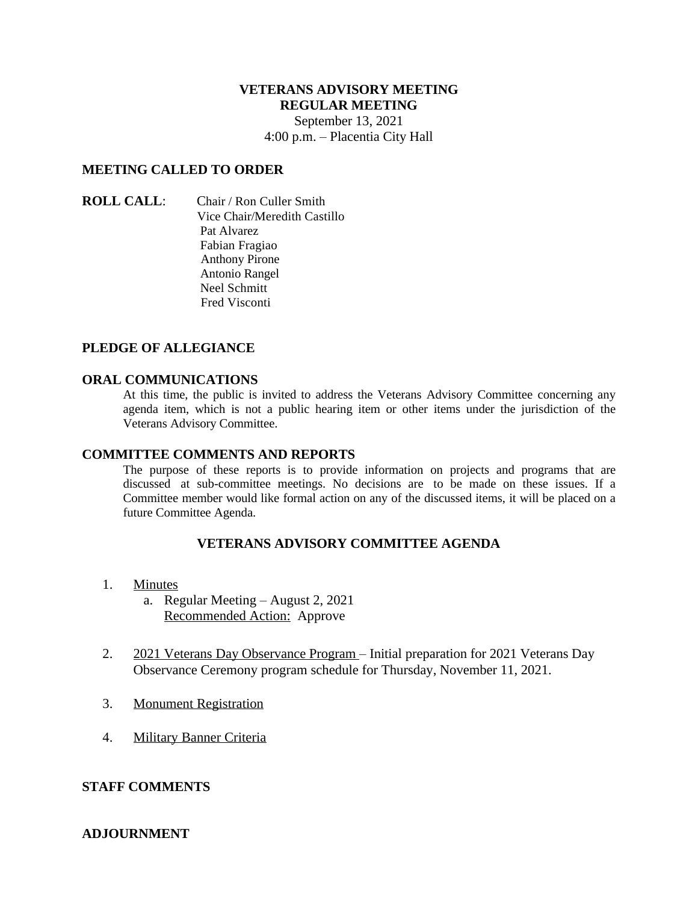# **VETERANS ADVISORY MEETING REGULAR MEETING**

September 13, 2021 4:00 p.m. – Placentia City Hall

## **MEETING CALLED TO ORDER**

### **ROLL CALL**: Chair / Ron Culler Smith Vice Chair/Meredith Castillo Pat Alvarez Fabian Fragiao Anthony Pirone Antonio Rangel Neel Schmitt Fred Visconti

## **PLEDGE OF ALLEGIANCE**

### **ORAL COMMUNICATIONS**

At this time, the public is invited to address the Veterans Advisory Committee concerning any agenda item, which is not a public hearing item or other items under the jurisdiction of the Veterans Advisory Committee.

### **COMMITTEE COMMENTS AND REPORTS**

The purpose of these reports is to provide information on projects and programs that are discussed at sub-committee meetings. No decisions are to be made on these issues. If a Committee member would like formal action on any of the discussed items, it will be placed on a future Committee Agenda.

## **VETERANS ADVISORY COMMITTEE AGENDA**

- 1. Minutes
	- a. Regular Meeting August 2, 2021 Recommended Action: Approve
- 2. 2021 Veterans Day Observance Program Initial preparation for 2021 Veterans Day Observance Ceremony program schedule for Thursday, November 11, 2021.
- 3. Monument Registration
- 4. Military Banner Criteria

## **STAFF COMMENTS**

### **ADJOURNMENT**